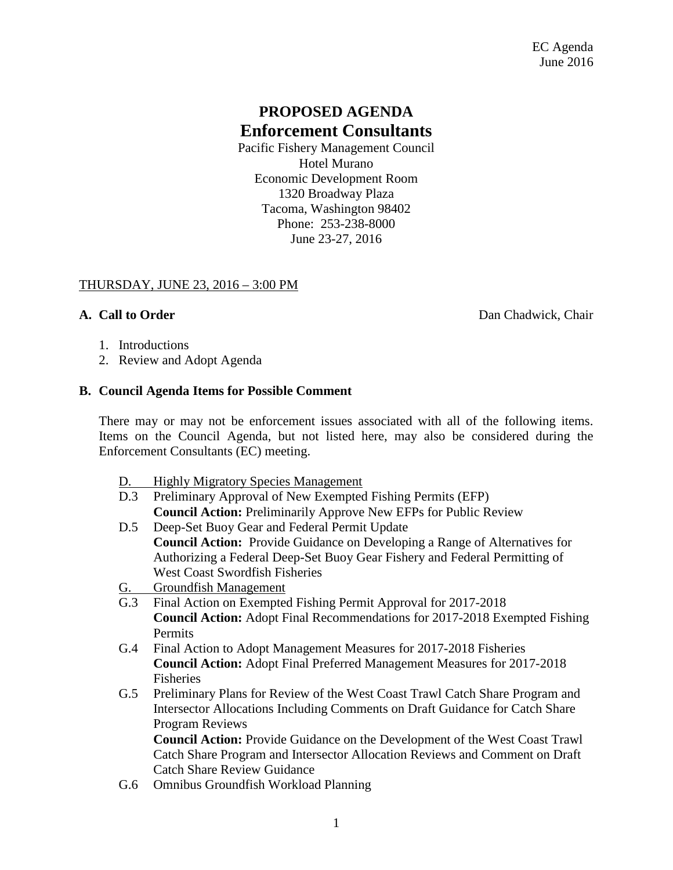# **PROPOSED AGENDA Enforcement Consultants**

Pacific Fishery Management Council Hotel Murano Economic Development Room 1320 Broadway Plaza Tacoma, Washington 98402 Phone: 253-238-8000 June 23-27, 2016

#### THURSDAY, JUNE 23, 2016 – 3:00 PM

**A. Call to Order** Dan Chadwick, Chair

- 1. Introductions
- 2. Review and Adopt Agenda

#### **B. Council Agenda Items for Possible Comment**

There may or may not be enforcement issues associated with all of the following items. Items on the Council Agenda, but not listed here, may also be considered during the Enforcement Consultants (EC) meeting.

- D. Highly Migratory Species Management
- D.3 Preliminary Approval of New Exempted Fishing Permits (EFP) **Council Action:** Preliminarily Approve New EFPs for Public Review
- D.5 Deep-Set Buoy Gear and Federal Permit Update **Council Action:** Provide Guidance on Developing a Range of Alternatives for Authorizing a Federal Deep-Set Buoy Gear Fishery and Federal Permitting of West Coast Swordfish Fisheries
- G. Groundfish Management
- G.3 Final Action on Exempted Fishing Permit Approval for 2017-2018 **Council Action:** Adopt Final Recommendations for 2017-2018 Exempted Fishing Permits
- G.4 Final Action to Adopt Management Measures for 2017-2018 Fisheries **Council Action:** Adopt Final Preferred Management Measures for 2017-2018 Fisheries
- G.5 Preliminary Plans for Review of the West Coast Trawl Catch Share Program and Intersector Allocations Including Comments on Draft Guidance for Catch Share Program Reviews

**Council Action:** Provide Guidance on the Development of the West Coast Trawl Catch Share Program and Intersector Allocation Reviews and Comment on Draft Catch Share Review Guidance

G.6 Omnibus Groundfish Workload Planning